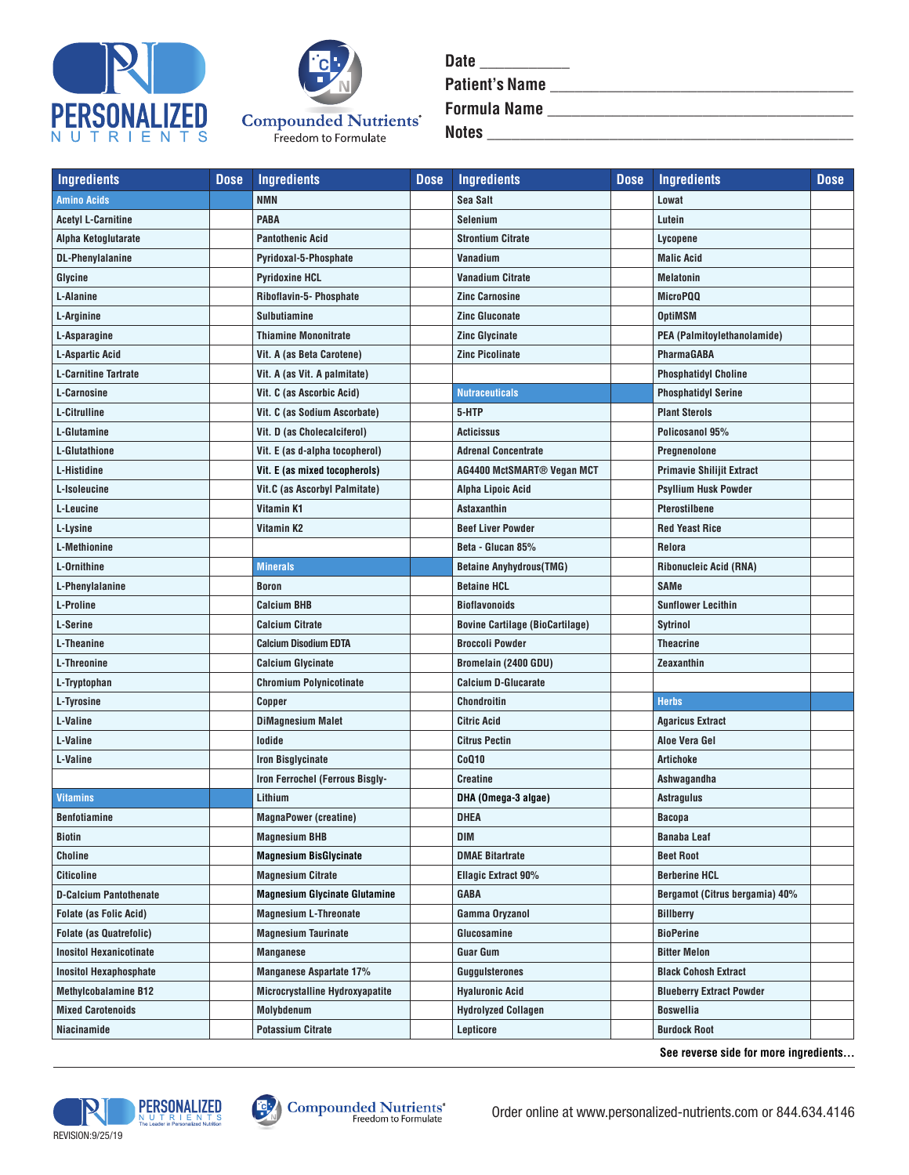



| <b>Date</b>           |  |
|-----------------------|--|
| <b>Patient's Name</b> |  |
| <b>Formula Name</b>   |  |
| <b>Notes</b>          |  |

| <b>Ingredients</b>             | <b>Dose</b> | <b>Ingredients</b>                     | <b>Dose</b> | <b>Ingredients</b>                     | <b>Dose</b> | <b>Ingredients</b>               | <b>Dose</b> |
|--------------------------------|-------------|----------------------------------------|-------------|----------------------------------------|-------------|----------------------------------|-------------|
| <b>Amino Acids</b>             |             | <b>NMN</b>                             |             | <b>Sea Salt</b>                        |             | Lowat                            |             |
| <b>Acetyl L-Carnitine</b>      |             | <b>PABA</b>                            |             | <b>Selenium</b>                        |             | Lutein                           |             |
| Alpha Ketoglutarate            |             | <b>Pantothenic Acid</b>                |             | <b>Strontium Citrate</b>               |             | Lycopene                         |             |
| <b>DL-Phenylalanine</b>        |             | Pyridoxal-5-Phosphate                  |             | Vanadium                               |             | <b>Malic Acid</b>                |             |
| Glycine                        |             | <b>Pyridoxine HCL</b>                  |             | <b>Vanadium Citrate</b>                |             | <b>Melatonin</b>                 |             |
| L-Alanine                      |             | Riboflavin-5- Phosphate                |             | <b>Zinc Carnosine</b>                  |             | MicroPQQ                         |             |
| L-Arginine                     |             | <b>Sulbutiamine</b>                    |             | <b>Zinc Gluconate</b>                  |             | <b>OptiMSM</b>                   |             |
| L-Asparagine                   |             | <b>Thiamine Mononitrate</b>            |             | <b>Zinc Glycinate</b>                  |             | PEA (Palmitoylethanolamide)      |             |
| L-Aspartic Acid                |             | Vit. A (as Beta Carotene)              |             | <b>Zinc Picolinate</b>                 |             | <b>PharmaGABA</b>                |             |
| <b>L-Carnitine Tartrate</b>    |             | Vit. A (as Vit. A palmitate)           |             |                                        |             | <b>Phosphatidyl Choline</b>      |             |
| L-Carnosine                    |             | Vit. C (as Ascorbic Acid)              |             | <b>Nutraceuticals</b>                  |             | <b>Phosphatidyl Serine</b>       |             |
| <b>L-Citrulline</b>            |             | Vit. C (as Sodium Ascorbate)           |             | 5-HTP                                  |             | <b>Plant Sterols</b>             |             |
| L-Glutamine                    |             | Vit. D (as Cholecalciferol)            |             | <b>Acticissus</b>                      |             | Policosanol 95%                  |             |
| L-Glutathione                  |             | Vit. E (as d-alpha tocopherol)         |             | <b>Adrenal Concentrate</b>             |             | Pregnenolone                     |             |
| L-Histidine                    |             | Vit. E (as mixed tocopherols)          |             | AG4400 MctSMART® Vegan MCT             |             | <b>Primavie Shilijit Extract</b> |             |
| L-Isoleucine                   |             | Vit.C (as Ascorbyl Palmitate)          |             | Alpha Lipoic Acid                      |             | <b>Psyllium Husk Powder</b>      |             |
| L-Leucine                      |             | Vitamin K1                             |             | <b>Astaxanthin</b>                     |             | Pterostilbene                    |             |
| L-Lysine                       |             | Vitamin K2                             |             | <b>Beef Liver Powder</b>               |             | <b>Red Yeast Rice</b>            |             |
| <b>L-Methionine</b>            |             |                                        |             | Beta - Glucan 85%                      |             | Relora                           |             |
| L-Ornithine                    |             | <b>Minerals</b>                        |             | <b>Betaine Anyhydrous(TMG)</b>         |             | Ribonucleic Acid (RNA)           |             |
| L-Phenylalanine                |             | <b>Boron</b>                           |             | <b>Betaine HCL</b>                     |             | SAMe                             |             |
| L-Proline                      |             | <b>Calcium BHB</b>                     |             | <b>Bioflavonoids</b>                   |             | <b>Sunflower Lecithin</b>        |             |
| L-Serine                       |             | <b>Calcium Citrate</b>                 |             | <b>Bovine Cartilage (BioCartilage)</b> |             | <b>Sytrinol</b>                  |             |
| L-Theanine                     |             | <b>Calcium Disodium EDTA</b>           |             | <b>Broccoli Powder</b>                 |             | Theacrine                        |             |
| L-Threonine                    |             | <b>Calcium Glycinate</b>               |             | Bromelain (2400 GDU)                   |             | Zeaxanthin                       |             |
| L-Tryptophan                   |             | <b>Chromium Polynicotinate</b>         |             | <b>Calcium D-Glucarate</b>             |             |                                  |             |
| L-Tyrosine                     |             | <b>Copper</b>                          |             | Chondroitin                            |             | <b>Herbs</b>                     |             |
| L-Valine                       |             | <b>DiMagnesium Malet</b>               |             | Citric Acid                            |             | <b>Agaricus Extract</b>          |             |
| L-Valine                       |             | lodide                                 |             | <b>Citrus Pectin</b>                   |             | Aloe Vera Gel                    |             |
| L-Valine                       |             | <b>Iron Bisglycinate</b>               |             | <b>CoQ10</b>                           |             | Artichoke                        |             |
|                                |             | Iron Ferrochel (Ferrous Bisgly-        |             | <b>Creatine</b>                        |             | Ashwagandha                      |             |
| <b>Vitamins</b>                |             | Lithium                                |             | DHA (Omega-3 algae)                    |             | Astragulus                       |             |
| <b>Benfotiamine</b>            |             | <b>MagnaPower (creatine)</b>           |             | DHEA                                   |             | Bacopa                           |             |
| Biotin                         |             | <b>Magnesium BHB</b>                   |             | DIM                                    |             | Banaba Leaf                      |             |
| Choline                        |             | <b>Magnesium BisGlycinate</b>          |             | <b>DMAE Bitartrate</b>                 |             | <b>Beet Root</b>                 |             |
| <b>Citicoline</b>              |             | <b>Magnesium Citrate</b>               |             | <b>Ellagic Extract 90%</b>             |             | <b>Berberine HCL</b>             |             |
| <b>D-Calcium Pantothenate</b>  |             | <b>Magnesium Glycinate Glutamine</b>   |             | <b>GABA</b>                            |             | Bergamot (Citrus bergamia) 40%   |             |
| <b>Folate (as Folic Acid)</b>  |             | <b>Magnesium L-Threonate</b>           |             | Gamma Oryzanol                         |             | <b>Billberry</b>                 |             |
| <b>Folate (as Quatrefolic)</b> |             | <b>Magnesium Taurinate</b>             |             | Glucosamine                            |             | <b>BioPerine</b>                 |             |
| <b>Inositol Hexanicotinate</b> |             | <b>Manganese</b>                       |             | Guar Gum                               |             | <b>Bitter Melon</b>              |             |
| <b>Inositol Hexaphosphate</b>  |             | <b>Manganese Aspartate 17%</b>         |             | Guggulsterones                         |             | <b>Black Cohosh Extract</b>      |             |
| <b>Methylcobalamine B12</b>    |             | <b>Microcrystalline Hydroxyapatite</b> |             | <b>Hyaluronic Acid</b>                 |             | <b>Blueberry Extract Powder</b>  |             |
| <b>Mixed Carotenoids</b>       |             | Molybdenum                             |             | <b>Hydrolyzed Collagen</b>             |             | <b>Boswellia</b>                 |             |
| Niacinamide                    |             | <b>Potassium Citrate</b>               |             | Lepticore                              |             | <b>Burdock Root</b>              |             |

**See reverse side for more ingredients...**